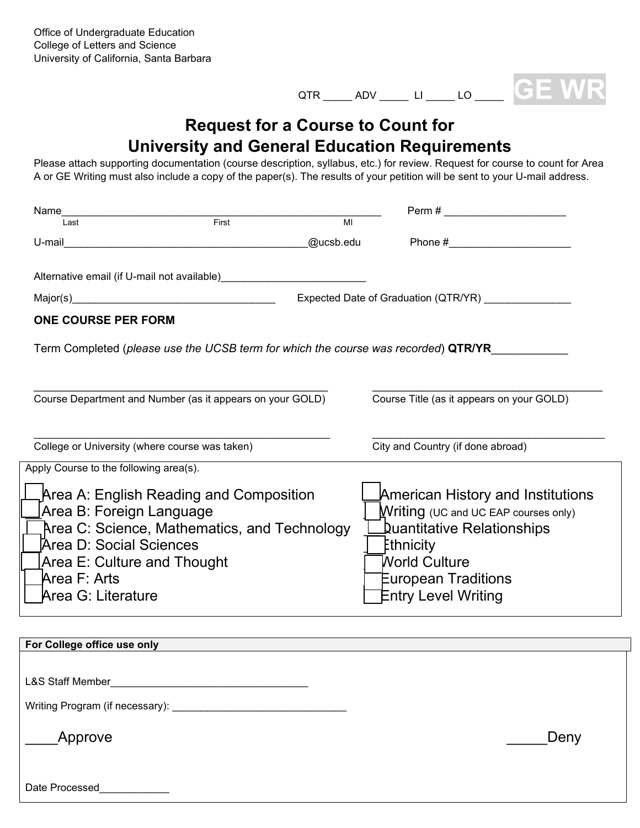

## **Request for a Course to Count for University and General Education Requirements**

Please attach supporting documentation (course description, syllabus, etc.) for review. Request for course to count for Area A or GE Writing must also include a copy of the paper(s). The results of your petition will be sent to your U-mail address.

| Name<br>loot First                                                                                            |           |                |                                           |  |
|---------------------------------------------------------------------------------------------------------------|-----------|----------------|-------------------------------------------|--|
|                                                                                                               |           | $\overline{M}$ |                                           |  |
| U-mail 2008 - 2008 - 2010 - 2010 - 2010 - 2010 - 2010 - 2011 - 2012 - 2012 - 2012 - 2012 - 2012 - 2012 - 2012 | @ucsb.edu |                | Phone #_________________________          |  |
|                                                                                                               |           |                |                                           |  |
|                                                                                                               |           |                |                                           |  |
|                                                                                                               |           |                | Expected Date of Graduation (QTR/YR)      |  |
| <b>ONE COURSE PER FORM</b>                                                                                    |           |                |                                           |  |
|                                                                                                               |           |                |                                           |  |
| Term Completed (please use the UCSB term for which the course was recorded) QTR/YR                            |           |                |                                           |  |
|                                                                                                               |           |                |                                           |  |
| Course Department and Number (as it appears on your GOLD)                                                     |           |                | Course Title (as it appears on your GOLD) |  |
|                                                                                                               |           |                |                                           |  |
|                                                                                                               |           |                |                                           |  |
| College or University (where course was taken)                                                                |           |                | City and Country (if done abroad)         |  |
| Apply Course to the following area(s).                                                                        |           |                |                                           |  |
| Area A: English Reading and Composition                                                                       |           |                | American History and Institutions         |  |
| Area B: Foreign Language                                                                                      |           |                | Writing (UC and UC EAP courses only)      |  |
| Area C: Science, Mathematics, and Technology                                                                  |           |                | Quantitative Relationships                |  |
| Area D: Social Sciences                                                                                       |           | Ethnicity      |                                           |  |
| Area E: Culture and Thought                                                                                   |           |                | <b>World Culture</b>                      |  |
| Area F: Arts                                                                                                  |           |                | European Traditions                       |  |
| Area G: Literature                                                                                            |           |                | <b>Entry Level Writing</b>                |  |
|                                                                                                               |           |                |                                           |  |

| For College office use only          |      |
|--------------------------------------|------|
|                                      |      |
| <b>L&amp;S Staff Member</b>          |      |
| Writing Program (if necessary): ____ |      |
| Approve                              | Deny |
| Date Processed                       |      |